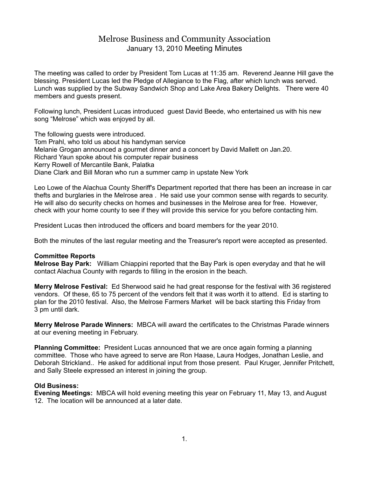## Melrose Business and Community Association January 13, 2010 Meeting Minutes

The meeting was called to order by President Tom Lucas at 11:35 am. Reverend Jeanne Hill gave the blessing. President Lucas led the Pledge of Allegiance to the Flag, after which lunch was served. Lunch was supplied by the Subway Sandwich Shop and Lake Area Bakery Delights. There were 40 members and guests present.

Following lunch, President Lucas introduced guest David Beede, who entertained us with his new song "Melrose" which was enjoyed by all.

The following guests were introduced. Tom Prahl, who told us about his handyman service Melanie Grogan announced a gourmet dinner and a concert by David Mallett on Jan.20. Richard Yaun spoke about his computer repair business Kerry Rowell of Mercantile Bank, Palatka Diane Clark and Bill Moran who run a summer camp in upstate New York

Leo Lowe of the Alachua County Sheriff's Department reported that there has been an increase in car thefts and burglaries in the Melrose area . He said use your common sense with regards to security. He will also do security checks on homes and businesses in the Melrose area for free. However, check with your home county to see if they will provide this service for you before contacting him.

President Lucas then introduced the officers and board members for the year 2010.

Both the minutes of the last regular meeting and the Treasurer's report were accepted as presented.

## **Committee Reports**

**Melrose Bay Park:** William Chiappini reported that the Bay Park is open everyday and that he will contact Alachua County with regards to filling in the erosion in the beach.

**Merry Melrose Festival:** Ed Sherwood said he had great response for the festival with 36 registered vendors. Of these, 65 to 75 percent of the vendors felt that it was worth it to attend. Ed is starting to plan for the 2010 festival. Also, the Melrose Farmers Market will be back starting this Friday from 3 pm until dark.

**Merry Melrose Parade Winners:** MBCA will award the certificates to the Christmas Parade winners at our evening meeting in February.

**Planning Committee:** President Lucas announced that we are once again forming a planning committee. Those who have agreed to serve are Ron Haase, Laura Hodges, Jonathan Leslie, and Deborah Strickland.. He asked for additional input from those present. Paul Kruger, Jennifer Pritchett, and Sally Steele expressed an interest in joining the group.

## **Old Business:**

**Evening Meetings:** MBCA will hold evening meeting this year on February 11, May 13, and August 12. The location will be announced at a later date.